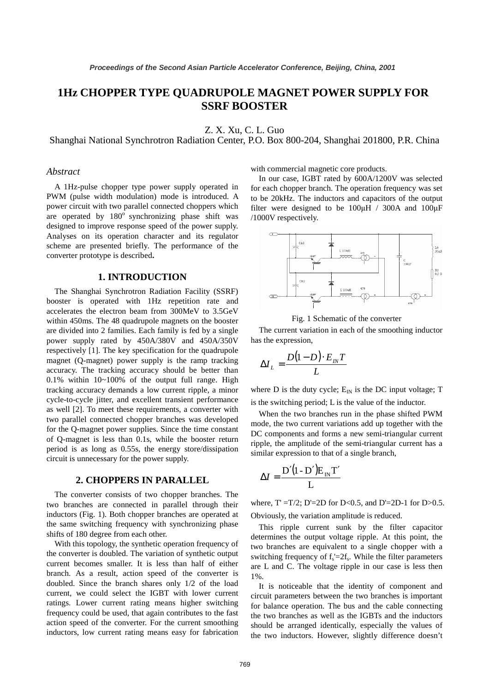# **1Hz CHOPPER TYPE QUADRUPOLE MAGNET POWER SUPPLY FOR SSRF BOOSTER**

Z. X. Xu, C. L. Guo

Shanghai National Synchrotron Radiation Center, P.O. Box 800-204, Shanghai 201800, P.R. China

# *Abstract*

A 1Hz-pulse chopper type power supply operated in PWM (pulse width modulation) mode is introduced. A power circuit with two parallel connected choppers which are operated by  $180^\circ$  synchronizing phase shift was designed to improve response speed of the power supply. Analyses on its operation character and its regulator scheme are presented briefly. The performance of the converter prototype is described**.** 

### **1. INTRODUCTION**

The Shanghai Synchrotron Radiation Facility (SSRF) booster is operated with 1Hz repetition rate and accelerates the electron beam from 300MeV to 3.5GeV within 450ms. The 48 quadrupole magnets on the booster are divided into 2 families. Each family is fed by a single power supply rated by 450A/380V and 450A/350V respectively [1]. The key specification for the quadrupole magnet (Q-magnet) power supply is the ramp tracking accuracy. The tracking accuracy should be better than 0.1% within 10~100% of the output full range. High tracking accuracy demands a low current ripple, a minor cycle-to-cycle jitter, and excellent transient performance as well [2]. To meet these requirements, a converter with two parallel connected chopper branches was developed for the Q-magnet power supplies. Since the time constant of Q-magnet is less than 0.1s, while the booster return period is as long as 0.55s, the energy store/dissipation circuit is unnecessary for the power supply.

#### **2. CHOPPERS IN PARALLEL**

The converter consists of two chopper branches. The two branches are connected in parallel through their inductors (Fig. 1). Both chopper branches are operated at the same switching frequency with synchronizing phase shifts of 180 degree from each other.

With this topology, the synthetic operation frequency of the converter is doubled. The variation of synthetic output current becomes smaller. It is less than half of either branch. As a result, action speed of the converter is doubled. Since the branch shares only 1/2 of the load current, we could select the IGBT with lower current ratings. Lower current rating means higher switching frequency could be used, that again contributes to the fast action speed of the converter. For the current smoothing inductors, low current rating means easy for fabrication

with commercial magnetic core products.

In our case, IGBT rated by 600A/1200V was selected for each chopper branch. The operation frequency was set to be 20kHz. The inductors and capacitors of the output filter were designed to be  $100\mu$ H / 300A and  $100\mu$ F /1000V respectively.



Fig. 1 Schematic of the converter

 The current variation in each of the smoothing inductor has the expression,

$$
\Delta I_L = \frac{D(1-D) \cdot E_{IN} T}{L}
$$

where D is the duty cycle;  $E_{IN}$  is the DC input voltage; T is the switching period; L is the value of the inductor.

When the two branches run in the phase shifted PWM mode, the two current variations add up together with the DC components and forms a new semi-triangular current ripple, the amplitude of the semi-triangular current has a similar expression to that of a single branch,

$$
\Delta I = \frac{D'(1 - D')E_{\text{IN}}T'}{L}
$$

where,  $T' = T/2$ ;  $D' = 2D$  for  $D < 0.5$ , and  $D' = 2D - 1$  for  $D > 0.5$ .

Obviously, the variation amplitude is reduced.

This ripple current sunk by the filter capacitor determines the output voltage ripple. At this point, the two branches are equivalent to a single chopper with a switching frequency of  $f_s = 2f_s$ . While the filter parameters are L and C. The voltage ripple in our case is less then 1%.

It is noticeable that the identity of component and circuit parameters between the two branches is important for balance operation. The bus and the cable connecting the two branches as well as the IGBTs and the inductors should be arranged identically, especially the values of the two inductors. However, slightly difference doesn't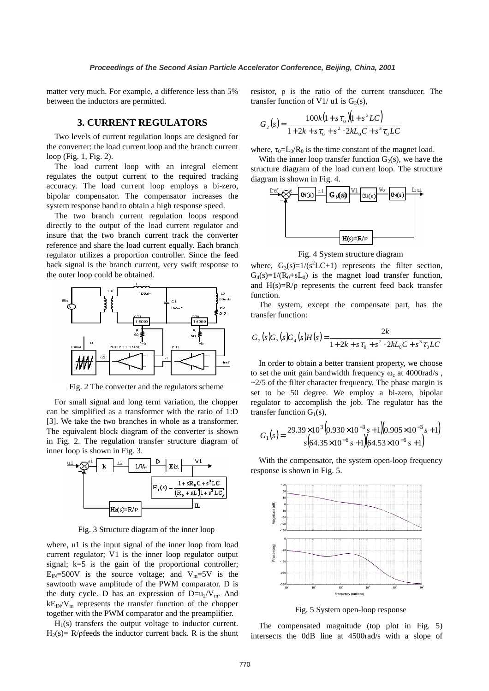matter very much. For example, a difference less than 5% between the inductors are permitted.

## **3. CURRENT REGULATORS**

Two levels of current regulation loops are designed for the converter: the load current loop and the branch current loop (Fig. 1, Fig. 2).

The load current loop with an integral element regulates the output current to the required tracking accuracy. The load current loop employs a bi-zero, bipolar compensator. The compensator increases the system response band to obtain a high response speed.

The two branch current regulation loops respond directly to the output of the load current regulator and insure that the two branch current track the converter reference and share the load current equally. Each branch regulator utilizes a proportion controller. Since the feed back signal is the branch current, very swift response to the outer loop could be obtained.



Fig. 2 The converter and the regulators scheme

For small signal and long term variation, the chopper can be simplified as a transformer with the ratio of 1:D [3]. We take the two branches in whole as a transformer. The equivalent block diagram of the converter is shown in Fig. 2. The regulation transfer structure diagram of inner loop is shown in Fig. 3.



Fig. 3 Structure diagram of the inner loop

where, u1 is the input signal of the inner loop from load current regulator; V1 is the inner loop regulator output signal;  $k=5$  is the gain of the proportional controller;  $E_{IN} = 500V$  is the source voltage; and  $V_m = 5V$  is the sawtooth wave amplitude of the PWM comparator. D is the duty cycle. D has an expression of  $D=u_2/V_m$ . And  $kE_N/V_m$  represents the transfer function of the chopper together with the PWM comparator and the preamplifier.

 $H_1(s)$  transfers the output voltage to inductor current. H<sub>2</sub>(s)= R/pfeeds the inductor current back. R is the shunt resistor, ρ is the ratio of the current transducer. The transfer function of V1/ u1 is  $G_2(s)$ ,

$$
G_2(s) = \frac{100k(1 + s\tau_0)(1 + s^2 LC)}{1 + 2k + s\tau_0 + s^2 \cdot 2kL_0C + s^3\tau_0LC}
$$

where,  $\tau_0 = L_0/R_0$  is the time constant of the magnet load.

With the inner loop transfer function  $G_2(s)$ , we have the structure diagram of the load current loop. The structure diagram is shown in Fig. 4.



Fig. 4 System structure diagram

where,  $G_3(s)=1/(s^2 LC+1)$  represents the filter section,  $G_4(s)=1/(R_0+sL_0)$  is the magnet load transfer function, and  $H(s)=R/\rho$  represents the current feed back transfer function.

The system, except the compensate part, has the transfer function:

$$
G_2(s)G_3(s)G_4(s)H(s) = \frac{2k}{1+2k+s\tau_0+s^2 \cdot 2kL_0C+s^3\tau_0LC}
$$

In order to obtain a better transient property, we choose to set the unit gain bandwidth frequency  $\omega_c$  at 4000rad/s,  $\approx$  2/5 of the filter character frequency. The phase margin is set to be 50 degree. We employ a bi-zero, bipolar regulator to accomplish the job. The regulator has the transfer function  $G_1(s)$ ,

$$
G_1(s) = \frac{29.39 \times 10^3 (0.930 \times 10^{-3} s + 1)(0.905 \times 10^{-3} s + 1)}{s (64.35 \times 10^{-6} s + 1)(64.53 \times 10^{-6} s + 1)}
$$

With the compensator, the system open-loop frequency response is shown in Fig. 5.



Fig. 5 System open-loop response

The compensated magnitude (top plot in Fig. 5) intersects the 0dB line at 4500rad/s with a slope of